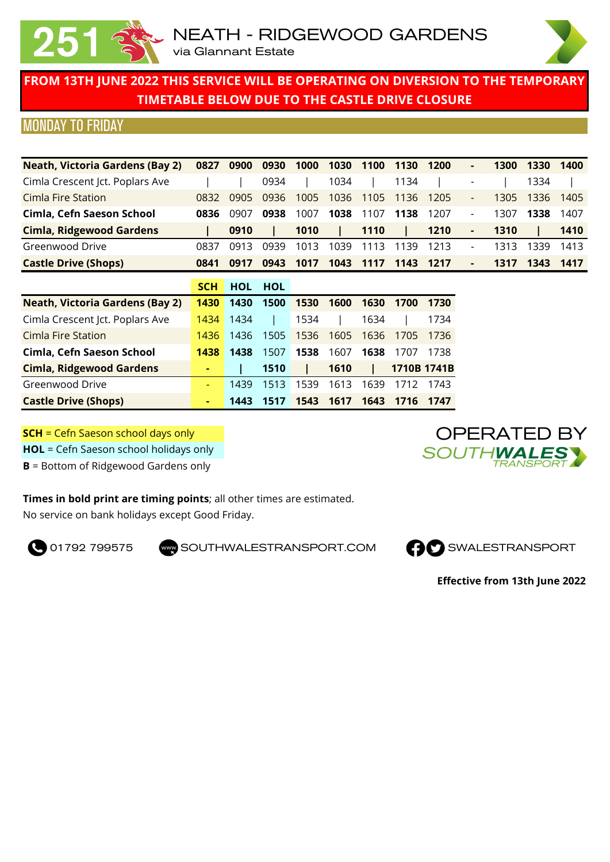

#### MONDAY TO FRIDAY

| <b>Neath, Victoria Gardens (Bay 2)</b> | 0827 | 0900 | 0930 | 1000 | 1030 | 1100 | 1130 | 1200  | ٠                        | 1300 | 1330 | 1400 |
|----------------------------------------|------|------|------|------|------|------|------|-------|--------------------------|------|------|------|
| Cimla Crescent Jct. Poplars Ave        |      |      | 0934 |      | 1034 |      | 1134 |       | ٠                        |      | 1334 |      |
| Cimla Fire Station                     | 0832 | 0905 | 0936 | 1005 | 1036 | 1105 | 1136 | -1205 | $\overline{\phantom{a}}$ | 1305 | 1336 | 1405 |
| Cimla, Cefn Saeson School              | 0836 | 0907 | 0938 | 1007 | 1038 | 1107 | 1138 | 1207  | -                        | 1307 | 1338 | 1407 |
| <b>Cimla, Ridgewood Gardens</b>        |      | 0910 |      | 1010 |      | 1110 |      | 1210  | ٠                        | 1310 |      | 1410 |
| Greenwood Drive                        | 0837 | 0913 | 0939 | 1013 | 1039 | 13   | 1139 | 1213  | $\blacksquare$           | 1313 | 1339 | 1413 |
| <b>Castle Drive (Shops)</b>            | 0841 | 0917 | 0943 | 1017 | 1043 | 1117 | 1143 | 1217  | ٠                        | 1317 | 1343 | 1417 |

|                                        | <b>SCH</b> | <b>HOL</b> | <b>HOL</b> |      |      |      |             |      |
|----------------------------------------|------------|------------|------------|------|------|------|-------------|------|
| <b>Neath, Victoria Gardens (Bay 2)</b> | 1430       | 1430       | 1500       | 1530 | 1600 | 1630 | 1700        | 1730 |
| Cimla Crescent Jct. Poplars Ave        | 1434       | 1434       |            | 1534 |      | 1634 |             | 1734 |
| Cimla Fire Station                     | 1436       | 1436       | 1505       | 1536 | 1605 | 1636 | 1705        | 1736 |
| Cimla, Cefn Saeson School              | 1438       | 1438       | 1507       | 1538 | 1607 | 1638 | 1707        | 1738 |
| <b>Cimla, Ridgewood Gardens</b>        | ٠          |            | 1510       |      | 1610 |      | 1710B 1741B |      |
| Greenwood Drive                        | ۰          | 1439       | 1513       | 1539 | 1613 | 1639 | 1712        | 1743 |
| <b>Castle Drive (Shops)</b>            |            | 1443       | 1517       | 1543 | 1617 | 1643 | 1716        | 1747 |

**SCH** = Cefn Saeson school days only

**HOL** = Cefn Saeson school holidays only

**B** = Bottom of Ridgewood Gardens only

#### **Times in bold print are timing points**; all other times are estimated.

No service on bank holidays except Good Friday.

**O** 01792 799575 SOUTHWALESTRANSPORT.COM **CO** SWALESTRANSPORT





**Effective from 13th June 2022**

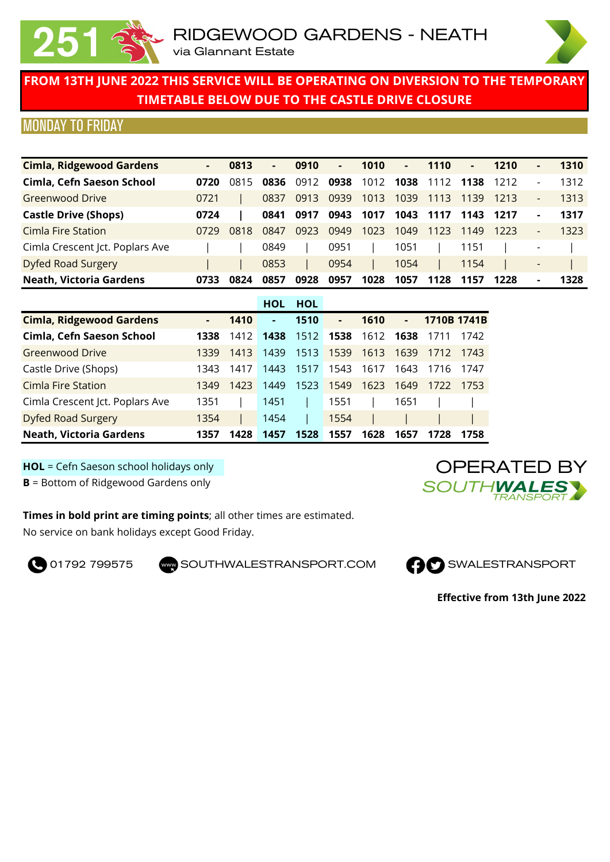



## MONDAY TO FRIDAY

| <b>Cimla, Ridgewood Gardens</b> | ۰    | 0813 | ۰.   | 0910 | ۰.   | 1010 | н.   | 1110 | ٠    | 1210 | ۰                        | 1310 |
|---------------------------------|------|------|------|------|------|------|------|------|------|------|--------------------------|------|
| Cimla, Cefn Saeson School       | 0720 | 0815 | 0836 | 0912 | 0938 | 1012 | 1038 | 1112 | 1138 | 1212 | $\overline{\phantom{a}}$ | 1312 |
| Greenwood Drive                 | 0721 |      | 0837 | 0913 | 0939 | 1013 | 1039 | 1113 | 1139 | 1213 | $\overline{\phantom{a}}$ | 1313 |
| <b>Castle Drive (Shops)</b>     | 0724 |      | 0841 | 0917 | 0943 | 1017 | 1043 | 1117 | 1143 | 1217 | ۰                        | 1317 |
| Cimla Fire Station              | 0729 | 0818 | 0847 | 0923 | 0949 | 1023 | 1049 | 1123 | 1149 | 1223 | $\overline{\phantom{0}}$ | 1323 |
| Cimla Crescent Jct. Poplars Ave |      |      | 0849 |      | 0951 |      | 1051 |      | 1151 |      | $\overline{\phantom{a}}$ |      |
| <b>Dyfed Road Surgery</b>       |      |      | 0853 |      | 0954 |      | 1054 |      | 1154 |      | $\overline{\phantom{a}}$ |      |
| <b>Neath, Victoria Gardens</b>  | 0733 | 0824 | 0857 | 0928 | 0957 | 1028 | 1057 | 1128 | 1157 | 1228 | ۰                        | 1328 |

|                                 |      |      | <b>HOL</b> | <b>HOL</b> |                |      |      |             |      |
|---------------------------------|------|------|------------|------------|----------------|------|------|-------------|------|
| <b>Cimla, Ridgewood Gardens</b> | ۰.   | 1410 | ٠          | 1510       | $\blacksquare$ | 1610 | ٠    | 1710B 1741B |      |
| Cimla, Cefn Saeson School       | 1338 | 1412 | 1438       | 1512       | 1538           | 1612 | 1638 | 1711        | 1742 |
| <b>Greenwood Drive</b>          | 1339 | 1413 | 1439       | 1513       | 1539           | 1613 | 1639 | 1712        | 1743 |
| Castle Drive (Shops)            | 1343 | 1417 | 1443       | 1517       | 1543           | 1617 | 1643 | 1716        | 1747 |
| Cimla Fire Station              | 1349 | 1423 | 1449       | 1523       | 1549           | 1623 | 1649 | 1722        | 1753 |
| Cimla Crescent Jct. Poplars Ave | 1351 |      | 1451       |            | 1551           |      | 1651 |             |      |
| <b>Dyfed Road Surgery</b>       | 1354 |      | 1454       |            | 1554           |      |      |             |      |
| <b>Neath, Victoria Gardens</b>  | 1357 | 1428 | 1457       | 1528       | 1557           | 1628 | 1657 | 1728        | 1758 |

**HOL** = Cefn Saeson school holidays only

**B** = Bottom of Ridgewood Gardens only

**Times in bold print are timing points**; all other times are estimated. No service on bank holidays except Good Friday.

**O** 01792 799575 SOUTHWALESTRANSPORT.COM **CO** SWALESTRANSPORT





**Effective from 13th June 2022**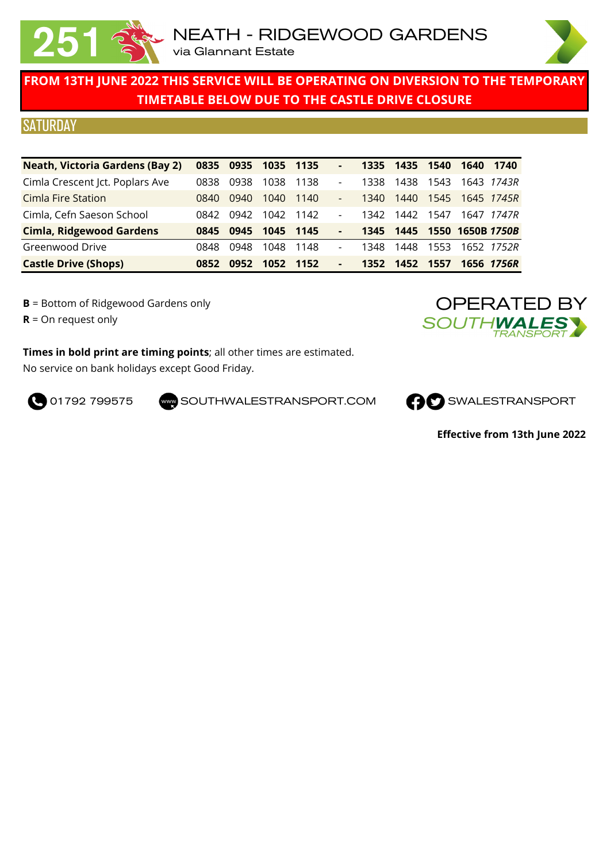

### **SATURDAY**

| <b>Neath, Victoria Gardens (Bay 2)</b> | 0835 | 0935 | 1035 1135 |       | ٠                            | 1335 | 1435 | 1540 | 1640             | 1740              |
|----------------------------------------|------|------|-----------|-------|------------------------------|------|------|------|------------------|-------------------|
| Cimla Crescent Jct. Poplars Ave        | 0838 | 0938 | 1038      | 1138  | $\overline{\phantom{a}}$     | 1338 | 1438 | 1543 |                  | 1643 <i>1743R</i> |
| <b>Cimla Fire Station</b>              | 0840 | 0940 | 1040      | 1140  | $\frac{1}{2}$                | 1340 | 1440 | 1545 | 1645 1745R       |                   |
| Cimla, Cefn Saeson School              | 0842 | 0942 | 1042      | -1142 | $\overline{\phantom{0}}$     | 1342 | 1442 | 1547 |                  | 1647 1747R        |
| <b>Cimla, Ridgewood Gardens</b>        | 0845 | 0945 | 1045 1145 |       | $\qquad \qquad \blacksquare$ | 1345 | 1445 |      | 1550 1650B 1750B |                   |
| Greenwood Drive                        | 0848 | 0948 | 1048      | 1148  | $\overline{\phantom{a}}$     | 1348 | 1448 | 1553 |                  | 1652 <i>1752R</i> |
| <b>Castle Drive (Shops)</b>            | 0852 | 0952 | 1052      | 1152  | $\overline{\phantom{a}}$     | 1352 | 1452 | 1557 |                  | 1656 <i>1756R</i> |

**B** = Bottom of Ridgewood Gardens only

**R** = On request only

**Times in bold print are timing points**; all other times are estimated. No service on bank holidays except Good Friday.



**O** 01792 799575 SOUTHWALESTRANSPORT.COM **CO** SWALESTRANSPORT



**Effective from 13th June 2022**

OPERATED BY